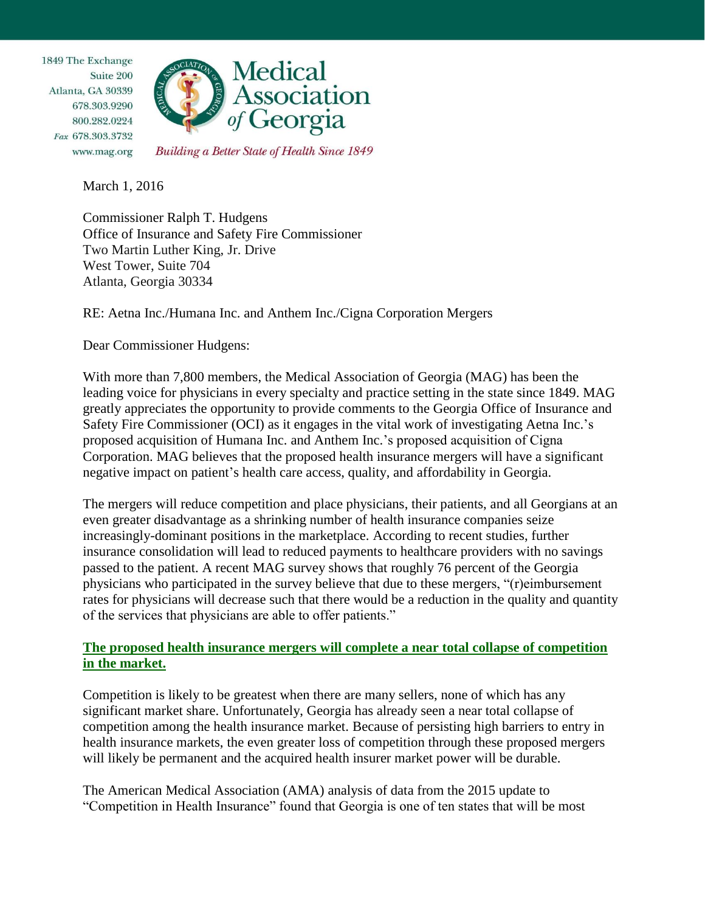1849 The Exchange Suite 200 Atlanta, GA 30339 678.303.9290 800.282.0224 Fax 678.303.3732 www.mag.org



Building a Better State of Health Since 1849

March 1, 2016

Commissioner Ralph T. Hudgens Office of Insurance and Safety Fire Commissioner Two Martin Luther King, Jr. Drive West Tower, Suite 704 Atlanta, Georgia 30334

RE: Aetna Inc./Humana Inc. and Anthem Inc./Cigna Corporation Mergers

Dear Commissioner Hudgens:

With more than 7,800 members, the Medical Association of Georgia (MAG) has been the leading voice for physicians in every specialty and practice setting in the state since 1849. MAG greatly appreciates the opportunity to provide comments to the Georgia Office of Insurance and Safety Fire Commissioner (OCI) as it engages in the vital work of investigating Aetna Inc.'s proposed acquisition of Humana Inc. and Anthem Inc.'s proposed acquisition of Cigna Corporation. MAG believes that the proposed health insurance mergers will have a significant negative impact on patient's health care access, quality, and affordability in Georgia.

The mergers will reduce competition and place physicians, their patients, and all Georgians at an even greater disadvantage as a shrinking number of health insurance companies seize increasingly-dominant positions in the marketplace. According to recent studies, further insurance consolidation will lead to reduced payments to healthcare providers with no savings passed to the patient. A recent MAG survey shows that roughly 76 percent of the Georgia physicians who participated in the survey believe that due to these mergers, "(r)eimbursement rates for physicians will decrease such that there would be a reduction in the quality and quantity of the services that physicians are able to offer patients."

## **The proposed health insurance mergers will complete a near total collapse of competition in the market.**

Competition is likely to be greatest when there are many sellers, none of which has any significant market share. Unfortunately, Georgia has already seen a near total collapse of competition among the health insurance market. Because of persisting high barriers to entry in health insurance markets, the even greater loss of competition through these proposed mergers will likely be permanent and the acquired health insurer market power will be durable.

The American Medical Association (AMA) analysis of data from the 2015 update to "Competition in Health Insurance" found that Georgia is one of ten states that will be most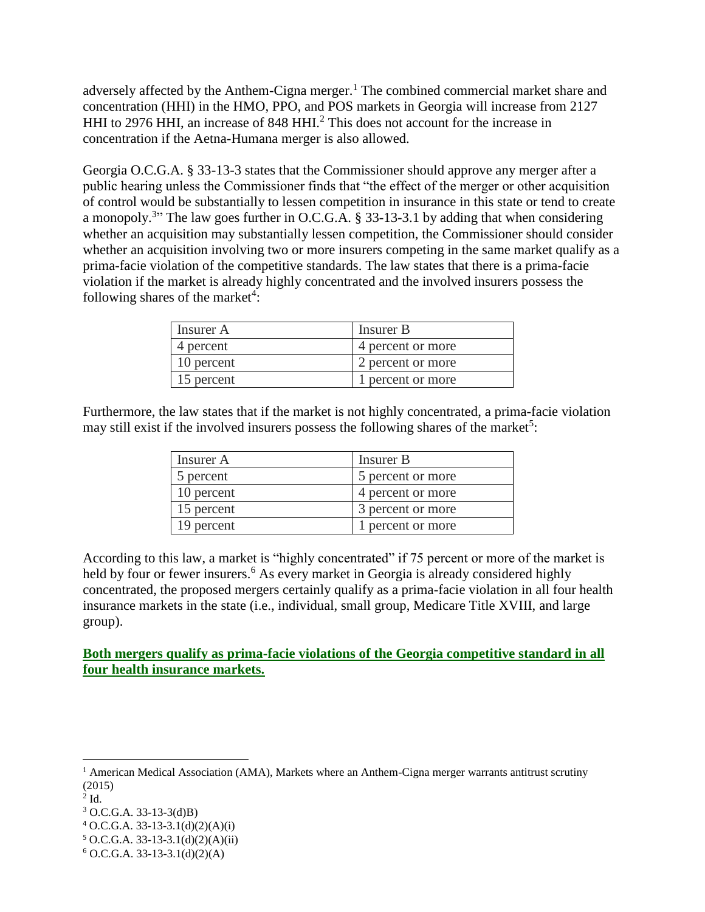adversely affected by the Anthem-Cigna merger.<sup>1</sup> The combined commercial market share and concentration (HHI) in the HMO, PPO, and POS markets in Georgia will increase from 2127 HHI to 2976 HHI, an increase of 848 HHI.<sup>2</sup> This does not account for the increase in concentration if the Aetna-Humana merger is also allowed.

Georgia O.C.G.A. § 33-13-3 states that the Commissioner should approve any merger after a public hearing unless the Commissioner finds that "the effect of the merger or other acquisition of control would be substantially to lessen competition in insurance in this state or tend to create a monopoly.<sup>3</sup>" The law goes further in O.C.G.A. § 33-13-3.1 by adding that when considering whether an acquisition may substantially lessen competition, the Commissioner should consider whether an acquisition involving two or more insurers competing in the same market qualify as a prima-facie violation of the competitive standards. The law states that there is a prima-facie violation if the market is already highly concentrated and the involved insurers possess the following shares of the market<sup>4</sup>:

| Insurer A  | Insurer B         |
|------------|-------------------|
| 4 percent  | 4 percent or more |
| 10 percent | 2 percent or more |
| 15 percent | 1 percent or more |

Furthermore, the law states that if the market is not highly concentrated, a prima-facie violation may still exist if the involved insurers possess the following shares of the market<sup>5</sup>:

| Insurer A  | Insurer B         |
|------------|-------------------|
| 5 percent  | 5 percent or more |
| 10 percent | 4 percent or more |
| 15 percent | 3 percent or more |
| 19 percent | 1 percent or more |

According to this law, a market is "highly concentrated" if 75 percent or more of the market is held by four or fewer insurers.<sup>6</sup> As every market in Georgia is already considered highly concentrated, the proposed mergers certainly qualify as a prima-facie violation in all four health insurance markets in the state (i.e., individual, small group, Medicare Title XVIII, and large group).

**Both mergers qualify as prima-facie violations of the Georgia competitive standard in all four health insurance markets.** 

 $\overline{a}$ 

 $<sup>1</sup>$  American Medical Association (AMA), Markets where an Anthem-Cigna merger warrants antitrust scrutiny</sup> (2015)

 $2$  Id.

<sup>3</sup> O.C.G.A. 33-13-3(d)B)

 $4$  O.C.G.A. 33-13-3.1(d)(2)(A)(i)

 $5$  O.C.G.A. 33-13-3.1(d)(2)(A)(ii)

 $6$  O.C.G.A. 33-13-3.1(d)(2)(A)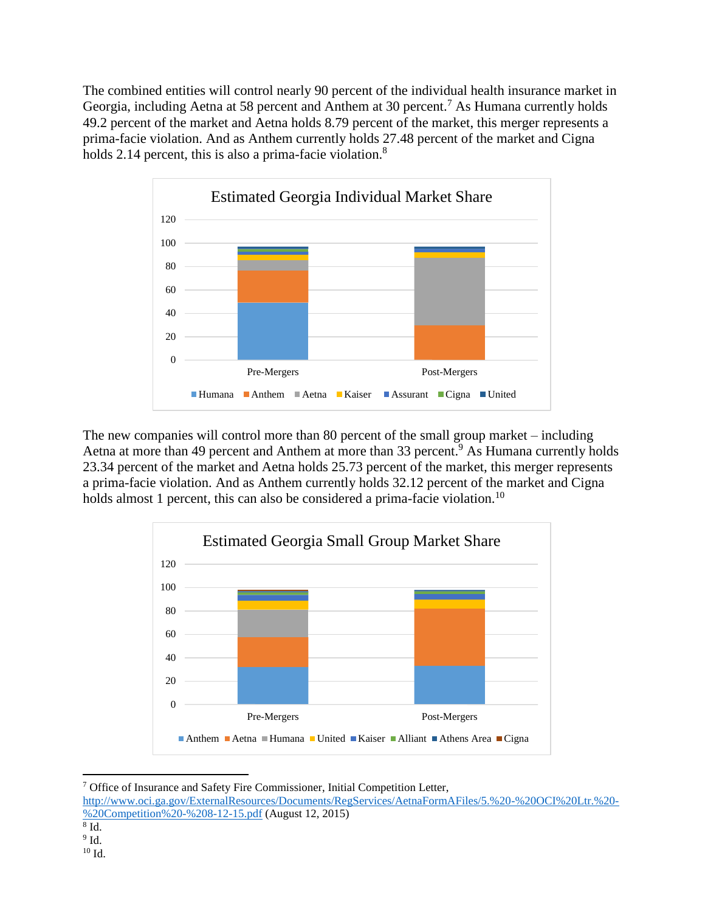The combined entities will control nearly 90 percent of the individual health insurance market in Georgia, including Aetna at 58 percent and Anthem at 30 percent.<sup>7</sup> As Humana currently holds 49.2 percent of the market and Aetna holds 8.79 percent of the market, this merger represents a prima-facie violation. And as Anthem currently holds 27.48 percent of the market and Cigna holds 2.14 percent, this is also a prima-facie violation. $8$ 



The new companies will control more than 80 percent of the small group market – including Aetna at more than 49 percent and Anthem at more than 33 percent.<sup>9</sup> As Humana currently holds 23.34 percent of the market and Aetna holds 25.73 percent of the market, this merger represents a prima-facie violation. And as Anthem currently holds 32.12 percent of the market and Cigna holds almost 1 percent, this can also be considered a prima-facie violation.<sup>10</sup>



<sup>7</sup> Office of Insurance and Safety Fire Commissioner, Initial Competition Letter,

8 Id.

l

 $^9$  Id.

[http://www.oci.ga.gov/ExternalResources/Documents/RegServices/AetnaFormAFiles/5.%20-%20OCI%20Ltr.%20-](http://www.oci.ga.gov/ExternalResources/Documents/RegServices/AetnaFormAFiles/5.%20-%20DOI%20Ltr.%20-%20Competition%20-%208-12-15.pdf) [%20Competition%20-%208-12-15.pdf](http://www.oci.ga.gov/ExternalResources/Documents/RegServices/AetnaFormAFiles/5.%20-%20DOI%20Ltr.%20-%20Competition%20-%208-12-15.pdf) (August 12, 2015)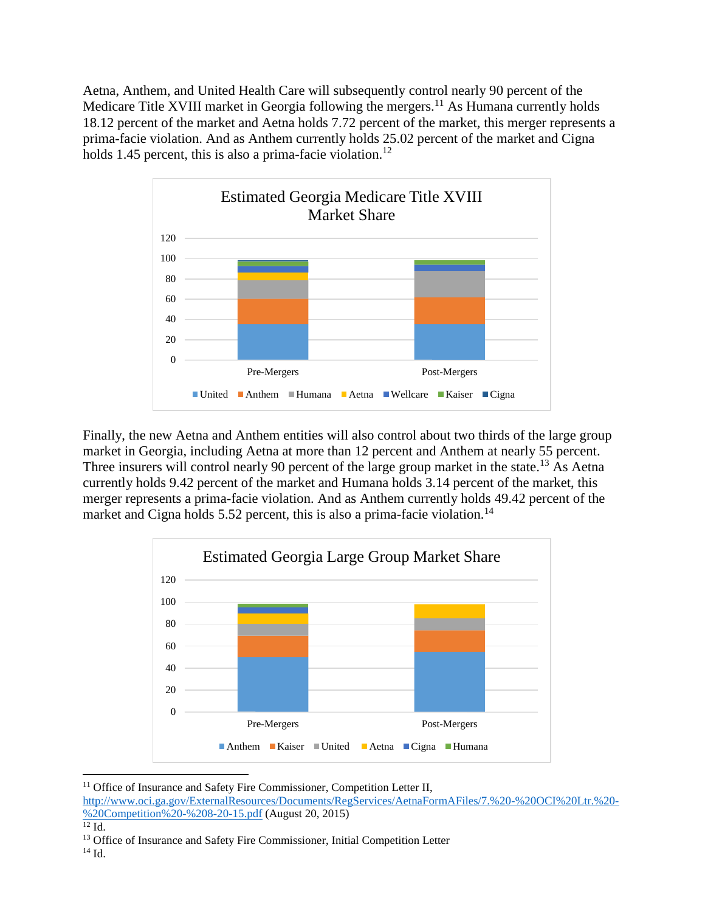Aetna, Anthem, and United Health Care will subsequently control nearly 90 percent of the Medicare Title XVIII market in Georgia following the mergers.<sup>11</sup> As Humana currently holds 18.12 percent of the market and Aetna holds 7.72 percent of the market, this merger represents a prima-facie violation. And as Anthem currently holds 25.02 percent of the market and Cigna holds 1.45 percent, this is also a prima-facie violation.<sup>12</sup>



Finally, the new Aetna and Anthem entities will also control about two thirds of the large group market in Georgia, including Aetna at more than 12 percent and Anthem at nearly 55 percent. Three insurers will control nearly 90 percent of the large group market in the state.<sup>13</sup> As Aetna currently holds 9.42 percent of the market and Humana holds 3.14 percent of the market, this merger represents a prima-facie violation. And as Anthem currently holds 49.42 percent of the market and Cigna holds 5.52 percent, this is also a prima-facie violation.<sup>14</sup>



<sup>&</sup>lt;sup>11</sup> Office of Insurance and Safety Fire Commissioner, Competition Letter II,

l

[http://www.oci.ga.gov/ExternalResources/Documents/RegServices/AetnaFormAFiles/7.%20-%20OCI%20Ltr.%20-](http://www.oci.ga.gov/ExternalResources/Documents/RegServices/AetnaFormAFiles/7.%20-%20DOI%20Ltr.%20-%20Competition%20-%208-20-15.pdf) [%20Competition%20-%208-20-15.pdf](http://www.oci.ga.gov/ExternalResources/Documents/RegServices/AetnaFormAFiles/7.%20-%20DOI%20Ltr.%20-%20Competition%20-%208-20-15.pdf) (August 20, 2015)

 $\overline{^{12}}$  Id.

<sup>&</sup>lt;sup>13</sup> Office of Insurance and Safety Fire Commissioner, Initial Competition Letter

<sup>14</sup> Id.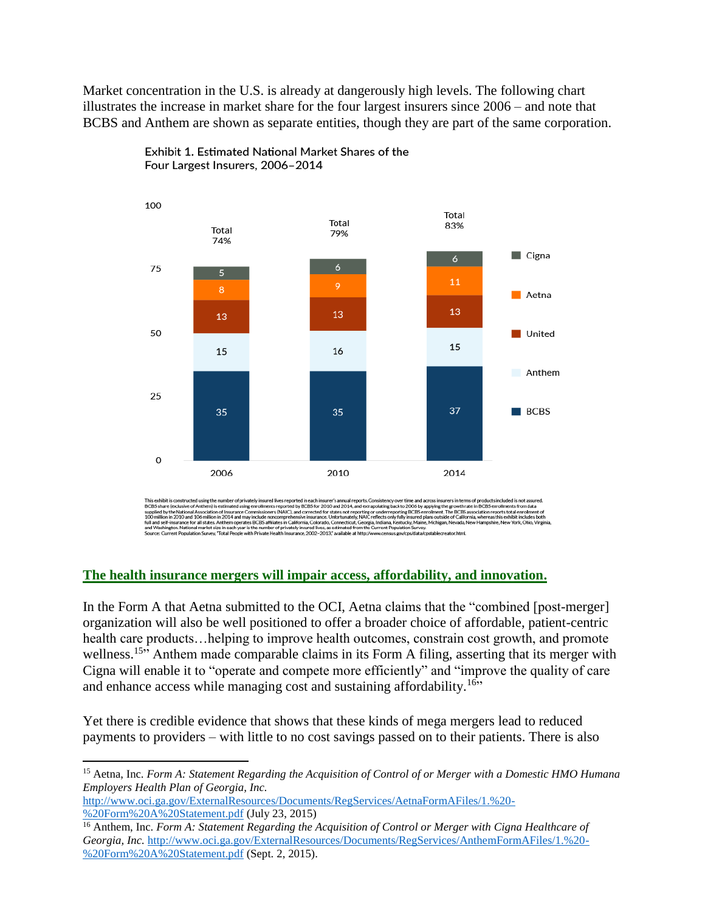Market concentration in the U.S. is already at dangerously high levels. The following chart illustrates the increase in market share for the four largest insurers since 2006 – and note that BCBS and Anthem are shown as separate entities, though they are part of the same corporation.



Exhibit 1. Estimated National Market Shares of the Four Largest Insurers, 2006-2014

This exhibit is constructed using the number of privately insured lives reported in each insurer's annual reports. Consistency over time and across insurers in terms of products included is not assured.<br>BCBS share (exclusi

## **The health insurance mergers will impair access, affordability, and innovation.**

In the Form A that Aetna submitted to the OCI, Aetna claims that the "combined [post-merger] organization will also be well positioned to offer a broader choice of affordable, patient-centric health care products...helping to improve health outcomes, constrain cost growth, and promote wellness.<sup>15</sup><sup>2</sup> Anthem made comparable claims in its Form A filing, asserting that its merger with Cigna will enable it to "operate and compete more efficiently" and "improve the quality of care and enhance access while managing cost and sustaining affordability.<sup>16</sup>"

Yet there is credible evidence that shows that these kinds of mega mergers lead to reduced payments to providers – with little to no cost savings passed on to their patients. There is also

[http://www.oci.ga.gov/ExternalResources/Documents/RegServices/AetnaFormAFiles/1.%20-](http://www.oci.ga.gov/ExternalResources/Documents/RegServices/AetnaFormAFiles/1.%20-%20Form%20A%20Statement.pdf) [%20Form%20A%20Statement.pdf](http://www.oci.ga.gov/ExternalResources/Documents/RegServices/AetnaFormAFiles/1.%20-%20Form%20A%20Statement.pdf) (July 23, 2015)

 $\overline{\phantom{a}}$ 

<sup>15</sup> Aetna, Inc. *Form A: Statement Regarding the Acquisition of Control of or Merger with a Domestic HMO Humana Employers Health Plan of Georgia, Inc.*

<sup>16</sup> Anthem, Inc. *Form A: Statement Regarding the Acquisition of Control or Merger with Cigna Healthcare of Georgia, Inc.* [http://www.oci.ga.gov/ExternalResources/Documents/RegServices/AnthemFormAFiles/1.%20-](http://www.oci.ga.gov/ExternalResources/Documents/RegServices/AnthemFormAFiles/1.%20-%20Form%20A%20Statement.pdf) [%20Form%20A%20Statement.pdf](http://www.oci.ga.gov/ExternalResources/Documents/RegServices/AnthemFormAFiles/1.%20-%20Form%20A%20Statement.pdf) (Sept. 2, 2015).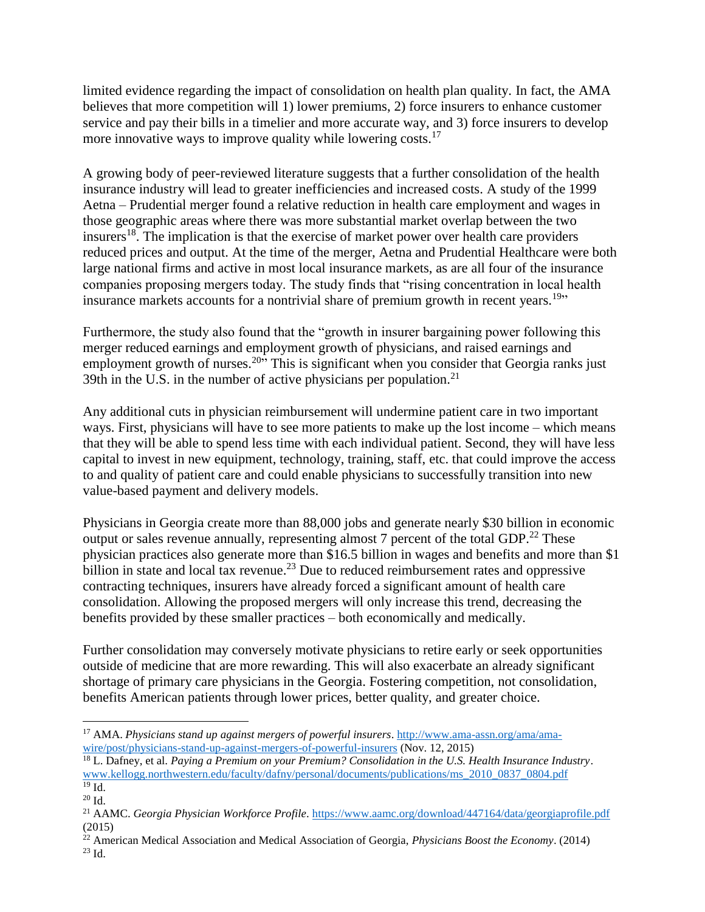limited evidence regarding the impact of consolidation on health plan quality. In fact, the AMA believes that more competition will 1) lower premiums, 2) force insurers to enhance customer service and pay their bills in a timelier and more accurate way, and 3) force insurers to develop more innovative ways to improve quality while lowering costs.<sup>17</sup>

A growing body of peer-reviewed literature suggests that a further consolidation of the health insurance industry will lead to greater inefficiencies and increased costs. A study of the 1999 Aetna – Prudential merger found a relative reduction in health care employment and wages in those geographic areas where there was more substantial market overlap between the two insurers<sup>18</sup>. The implication is that the exercise of market power over health care providers reduced prices and output. At the time of the merger, Aetna and Prudential Healthcare were both large national firms and active in most local insurance markets, as are all four of the insurance companies proposing mergers today. The study finds that "rising concentration in local health insurance markets accounts for a nontrivial share of premium growth in recent years.<sup>19</sup>"

Furthermore, the study also found that the "growth in insurer bargaining power following this merger reduced earnings and employment growth of physicians, and raised earnings and employment growth of nurses.<sup>20</sup> $\cdot$  This is significant when you consider that Georgia ranks just 39th in the U.S. in the number of active physicians per population. $21$ 

Any additional cuts in physician reimbursement will undermine patient care in two important ways. First, physicians will have to see more patients to make up the lost income – which means that they will be able to spend less time with each individual patient. Second, they will have less capital to invest in new equipment, technology, training, staff, etc. that could improve the access to and quality of patient care and could enable physicians to successfully transition into new value-based payment and delivery models.

Physicians in Georgia create more than 88,000 jobs and generate nearly \$30 billion in economic output or sales revenue annually, representing almost 7 percent of the total GDP.<sup>22</sup> These physician practices also generate more than \$16.5 billion in wages and benefits and more than \$1 billion in state and local tax revenue.<sup>23</sup> Due to reduced reimbursement rates and oppressive contracting techniques, insurers have already forced a significant amount of health care consolidation. Allowing the proposed mergers will only increase this trend, decreasing the benefits provided by these smaller practices – both economically and medically.

Further consolidation may conversely motivate physicians to retire early or seek opportunities outside of medicine that are more rewarding. This will also exacerbate an already significant shortage of primary care physicians in the Georgia. Fostering competition, not consolidation, benefits American patients through lower prices, better quality, and greater choice.

 $\overline{\phantom{a}}$ <sup>17</sup> AMA. *Physicians stand up against mergers of powerful insurers*. [http://www.ama-assn.org/ama/ama](http://www.ama-assn.org/ama/ama-wire/post/physicians-stand-up-against-mergers-of-powerful-insurers)[wire/post/physicians-stand-up-against-mergers-of-powerful-insurers](http://www.ama-assn.org/ama/ama-wire/post/physicians-stand-up-against-mergers-of-powerful-insurers) (Nov. 12, 2015)

<sup>18</sup> L. Dafney, et al. *Paying a Premium on your Premium? Consolidation in the U.S. Health Insurance Industry*. [www.kellogg.northwestern.edu/faculty/dafny/personal/documents/publications/ms\\_2010\\_0837\\_0804.pdf](http://www.kellogg.northwestern.edu/faculty/dafny/personal/documents/publications/ms_2010_0837_0804.pdf)  $19$  Id.

<sup>20</sup> Id.

<sup>21</sup> AAMC. *Georgia Physician Workforce Profile*.<https://www.aamc.org/download/447164/data/georgiaprofile.pdf> (2015)

<sup>22</sup> American Medical Association and Medical Association of Georgia, *Physicians Boost the Economy*. (2014)  $^{23}$  Id.